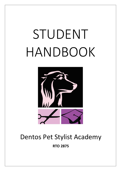# STUDENT HANDBOOK



# Dentos Pet Stylist Academy

**RTO 2875**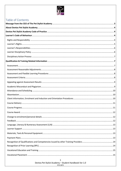# Table of Contents

| Course Award | . 12 |
|--------------|------|
|              |      |
|              |      |
|              |      |
|              |      |
|              |      |
|              |      |
|              |      |
|              |      |
|              |      |
|              |      |

Dentos Pet Stylist Academy - Student Handbook Ver 1.0 RTO 2875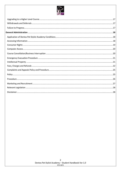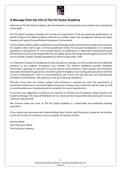

# **A Message from the CEO of The Pet Stylist Academy**

Welcome to The Pet Stylist Academy. We look forward to working with you to achieve your training and career goals.

The Pet Stylist Academy provides the training and assessment of the pet grooming qualifications on behalf of Dentos Pet Stylist Academy (referred to as DPSA). Under this arrangement Dentos Pet Stylist Academy will award the qualification/statement of attainment.

The Pet Stylist Academy (PSA) is dedicated to providing high quality standards of training and assessment for students who wish to gain a formal qualification either for personal development or to become qualified as a pet groomer or in the animal industry. A qualification, or Statement of Attainment issued demonstrates you have developed skills that are highly valued and recognised throughout Australia. We aim to provide a happy, friendly atmosphere in which to gain these skills.

It is important to keep this handbook on hand during your training, as it will provide you with additional guidance as you progress throughout your training. This Student Handbook provides important information regarding an overview of our key policies and procedures. These policies and procedures have been developed to guarantee consistent quality throughout yourtraining and assessment with PSA. It's not a marketing tool. Treat it as pre-reading for your course and you will start your learning with confidence and familiarity. We hope you enjoy your learning experience.

PSA will ensure that you receive support and assistance to provide you with the opportunity to successfully achieve your educational goals during your training. Every endeavour will be made by staff to accommodate your individual needs to complete the course requirements.

If you have any suggestions on how we can improve our Policies and Procedures, please speak to the Academy Manager. We value all feedback and it is constructively incorporated and acted upon to ensure continual improvement.

We sincerely hope your time at The Pet Stylist Academy is a memorable and productive learning experience.

If you require any assistance with understanding these Policies and Procedures, please do not hesitate to ask your trainer for assistance, who can explain the process further.

Brenton Myatt Chief Executive Officer The Pet Stylist Academy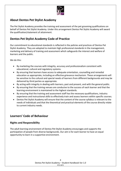

# **About Dentos Pet Stylist Academy**

The Pet Stylist Academy provides the training and assessment of the pet grooming qualifications on behalf of Dentos Pet Stylist Academy. Under this arrangement Dentos Pet Stylist Academy will award the qualification/statement of attainment.

# **Dentos Pet Stylist Academy Code of Practice**

Our commitment to educational standards is reflected in the policies and practices of Dentos Pet Stylist Academy. They are adopted to maintain high professional standards in the management, marketing and delivery of training and assessment which safeguards the interest and welfare of learners and the public.

We do this:

- By marketing the courses with integrity, accuracy and professionalism consistent with educational, cultural and regulatory systems.
- By ensuring that learners have access to adequate orientation, counselling and remedial education as appropriate, including an effective grievance mechanism. These arrangements will be sensitive to the cultural and special needs of learners from different backgrounds and may be delivered by third parties as appropriate.
- By acting with integrity in dealing with learners, past and present, and with the general public.
- By ensuring that the training venues are conducive to the success of each learner and that the learning environment is maintained to the highest standards.
- By ensuring that the training and assessment staff has the necessary qualifications, industry experience and instructional skills to effectively train and assess learners within specific courses.
- Dentos Pet Stylist Academy will ensure that the content of the course syllabus is relevant to the needs of individuals and that the theoretical and practical elements of the course directly relate to current industry needs.

# **Learners' Code of Behaviour**

#### **Rights and Responsibility**

The adult learning environment of Dentos Pet Stylist Academy encourages and supports the participation of people from diverse backgrounds. Our aim is for each learner to have an equal opportunity to learn in a supportive environment.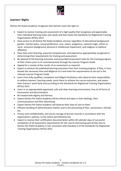

#### **Learners' Rights**

Dentos Pet Stylist Academy recognises that learners have the right to:

- Expect to receive training and assessment of a high quality that recognises and appreciates their individual learning styles and needs and that meets the Standards for Registered Training Organisations (RTOs) 2015
- Have access to all Dentos Pet Stylist Academy services regardless of educational background, gender, marital status, sexual preference, race, colour, pregnancy, national origin, ethnic or socio- economic background, physical or intellectual impairment, and religious or political affiliation
- Have their prior learning, acquired competencies, and experience appropriately recognised in determining their requirements for training and assessment
- Be advised of the learning outcomes and prescribed assessment tasks for the training program of their choice prior to its commencement through the Learner Program Guide
- Appeal for a review of the results of an assessment as required
- Expect to achieve the published learning outcomes from their training program, if they, in turn, devote the necessary time and diligence to it and meet the requirements as set out in the relevant Learner Program Guide
- Learn from fully qualified, competent and diligent facilitators who observe their responsibility to address learners' learning needs, assist them to achieve the course outcomes, and assess their learners' work fairly and according to the Standards for Registered Training Organisations (RTOs) 2015
- Learn in an appropriately appointed, safe and clean learning environment, free of all forms of harassment and discrimination
- Be treated with dignity and fairness
- Expect Dentos Pet Stylist Academy will be ethical and open in their dealings, their communications and their advertising
- Expect Dentos Pet Stylist Academy will observe their duty of care to them
- Efficient handling of administrative matters and in the processing of fees, concessions, refunds etc.
- Privacy and confidentiality, and secure storage of learner records in accordance with the organisation's policies, to the extent permitted by law
- Expect to receive their certification documentation within 30 calendar days of successful completion of all assessment requirements for the course and having paid all fees due to Dentos Pet Stylist Academy in full, consistent with Standard 3 of the Standards for Registered Training Organisations (RTOs) 2015.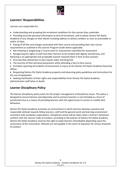

# **Learners' Responsibilities**

Learners are responsible for:

- Understanding and accepting the enrolment conditions for the courses they undertake.
- Providing accurate personal information at time of enrolment, and to advise Dentos Pet Stylist Academy of any changes to their details including address or phone numbers as soon as practicable or within 14 days.
- Paying of all fees and charges associated with their course and providing their own course requirements as outlined in the Learner Program Guide where applicable.
- Not cheating or plagiarizing in course work or assessments submitted for assessment
- Recognising the rights of staff and other learners to be treated with dignity and fairness, and behaving in an appropriate and acceptable manner towards them in face to face sessions
- Ensuring they attend face to face classes sober and drug free
- The security of their personal possessions while attending a face to face course.
- Promptly reporting all incidents of harassment or injury to the Dentos Pet Stylist Academy Executive Officer.
- Respecting Dentos Pet Stylist Academy property and observing policy guidelines and instructions for the use of equipment.
- Seeking clarification of their rights and responsibilities from Dentos Pet Stylist Academy administration staff when in doubt.

# **Learner Disciplinary Policy**

The learner disciplinary policy exists for the proper management of disciplinary issues. The policy is designed to ensure fairness and objectivity and its primary function is not intended as a form of punishment but as a means of providing learners with the opportunity to correct or modify their behaviour.

Dentos Pet Stylist Academy promotes an environment in which learners develop a positive and responsible attitude towards fellow learners, staff and the general work and learning environment consistent with workplace expectations. Disciplinary action will be taken when a learner's behaviour conflicts with the Learner Code of Conduct, according to the policies of Dentos Pet Stylist Academy. Dentos Pet Stylist Academy reserves the right to expel learners immediately depending upon the seriousness of the misconduct. Refunds are not payable in the event of expulsion for serious breaches of conduct.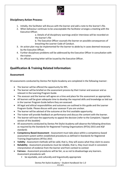

#### **Disciplinary Action Process:**

- 1. Initially, the facilitator will discuss with the learner and add a note to the learner's file.
- 2. When behaviour continues to be unacceptable the facilitator arranges a meeting with the Executive Officer.

a. Details of all disciplinary warnings and/or interviews will be recorded on the learner's file

b. The Executive Officer counsels the learner on possible consequences of breaching the Learner Code of Conduct.

- 3. An action plan may be implemented for the learner to abide by in cases deemed necessary by the Executive Officer.
- 4. Further disciplinary problems will be addressed by the Executive Officer in consultation with the trainer.
- 5. An official warning letter will be issued by the Executive Officer.

# **Qualification & Training Related Information:**

#### **Assessment**

All assessments conducted by Dentos Pet Stylist Academy are completed in the following manner:

- The learner will be offered the opportunity for RPL.
- The learner will be briefed on the assessment process by their trainer and assessor and as relevant in the Learning Program Guide.
- The assessor and the learner will agree on a time and place for the assessment as appropriate.
- All learners will be given adequate time to develop the required skills and knowledge as laid out in the Learner Program Guide before they are assessed.
- All legal and ethical responsibilities and outcomes are outlined in this guide and the Learner Program Guide. Please discuss with your assessor if you are unclear.
- The learner will be advised of the outcome at the first available opportunity.
- The trainer will provide feedback on performance and discuss the content with the learner.
- The learner will have the opportunity to appeal the decision (refer to the Complaint / Appeal section of this booklet)
- All assessments conducted by Dentos Pet Stylist Academy will observe the following directives as required by the Standards for Registered Training Organisations (RTOs) 2015 and AQF standards
- **Competency Based Assessment** Assessment must take place within a competency-based assessment system within established procedures as defined in Standards for Registered Training Organisations (RTOs) 2015
- **Validity** Assessment methods will be valid, that is, they will assess what they claim to assess
- **Reliability** Assessment procedures must be reliable, that is, they must result in consistent interpretation of evidence from the learner and from context to context
- **Fairness** Assessment procedures will be fair, so as not to disadvantage any learners. Assessment procedures will:
	- be equitable, and culturally and linguistically appropriate

Dentos Pet Stylist Academy – Student Handbook Ver 1.0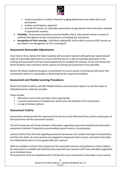

- involve procedures in which criteria for judging performance are made clear to all participants
- employ a participatory approach
- provide for learners to undertake assessments at appropriate times and where required in appropriate locations
- **Flexibility** Assessment procedures must be flexible, that is, they should involve a variety of methods that depend on the circumstances surrounding the assessment
- **Recognition of Prior Learning** Individuals seeking RPL will be able to access an RPL process as described in our Recognition of Prior Learning Kit.

#### **Assessment Reasonable Adjustments**

From time to time, Dentos Pet Stylist Academy will encounter learners with particular needs and will make all reasonable adjustments to ensure that the learner is able to equitably participate in the training and assessment and have equal opportunity to complete the training. To this end Dentos Pet Stylist Academy may customise certain aspects of training and assessment to be equitable.

Dentos Pet Stylist Academy has given a commitment to ensure equity in training and will honor that commitment where it is reasonable as determined by the respective facilitator.

#### **Assessment and Flexible Learning Procedures**

Dentos Pet Stylist Academy will offer flexible delivery and assessment options to suit the needs of individual learners wherever possible.

These include:

- alternative course time and dates where appropriate
- a second assessment of competencies which were not achieved at first assessment
- a range of delivery options

#### **Assessment Criteria**

Assessments should provide the opportunity for learners to be informed of the context and purpose of the assessment and the assessment process.

This will include but will not be limited to information regarding assessment methods and alternative assessment methods if required to accommodate special needs or circumstances.

Learners will be fully informed regarding assessment processes, the number and types of assessments, and their due dates. As many learners are engaged in progressive start courses, assessment due dates are individualised and are to be agreed with your assessor.

Staff are available to discuss the outcomes of the assessment process and guidance on future options. Re-assessment is available and should be discussed with your assessor with times and dates negotiated on an individual basis.

All assessments must be completed within the bounds of your enrolment as described in your Learner

8 Dentos Pet Stylist Academy – Student Handbook Ver 1.0 RTO 2875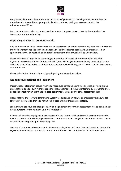

Program Guide. Re-enrolment fees may be payable if you need to stretch your enrolment beyond these bounds. Please discuss your particular circumstances with your assessor or with the Administration Officer.

Re-assessments may also occur as a result of a formal appeals process. See further details in the Complaints and Appeals policy.

#### **Appealing against Assessment Results**

Any learner who believes that the result of an assessment or unit of competency does not fairly reflect their achievement has the right to an appeal. In the first instance speak with your assessor. If an agreement cannot be reached, an impartial assessment of your work will be undertaken.

Please note that all appeals must be lodged within two (2) weeks of the result being provided. If you are assessed as Not Yet Competent (NYC), you will be given an opportunity to develop further skills and knowledge and to resubmit your assessment. You will be granted two re-sits for assessments considered NYC.

Please refer to the Complaints and Appeals policy and Procedure below.

#### **Academic Misconduct and Plagiarism**

Misconduct or plagiarism occurs when you reproduce someone else's words, ideas, or findings and present them as your own without proper acknowledgment. It includes attempts by learners to cheat or act dishonestly in an examination, test, assignment, essay, or any other assessment task.

Please refer to the Harvard Referencing System for guidance on how to appropriately acknowledge sources of information that you have used in preparing your assessment tasks.

Learners who are found cheating or guilty of plagiarism in any form of assessment will be deemed *Not Yet Competent* for the relevant Unit of Competency.

All cases of cheating or plagiarism are recorded in the Learner's file and remain permanently on the record. Learners found cheating will receive a formal written warning from the Administration Officer. Learners have a right to appeal the allegation.

Continued academic misconduct or involvement in plagiarism will result in expulsion from Dentos Pet Stylist Academy. Please refer to the refund information in this handbook for further information.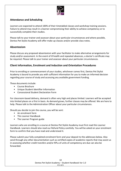

#### **Attendance and Scheduling**

Learners are expected to attend 100% of their timetabled classes and workshop training sessions. Failure to attend may result in a learner compromising their ability to achieve competency or to successfully complete their studies.

Please talk to your trainer and assessor about your particular circumstances and where possible, Dentos Pet Stylist Academy will offer make up classes and/or provide class notes.

#### **Absenteeism**

Please discuss any proposed absenteeism with your facilitator to make alternative arrangements for study and/or assessment. In the event of ill health and repeated absences, a doctor's certificate may be required. Please talk to your trainer and assessor about your particular circumstances.

#### **Client Information, Enrolment and Induction and Orientation Procedures**

Prior to enrolling or commencement of your studies, whichever comes first, Dentos Pet Stylist Academy is bound to provide you with sufficient information for you to make an informed decision regarding your course of study and accessing any available government funding.

These documents include:

- Course Brochure
- Unique Student Identifier Information
- Concessional Student Declaration Form

For classroom-based delivery, demand is often very high and places limited. Learners will be accepted into limited places on a first in basis. As demand grows, further classes may be offered. We are here to help. Please talk to the Administration Officer about your particular circumstances.

Should you decide to join the course, you will be sent:

- An enrolment form
- This Learner Handbook
- The Learner Program guide

Learners who are enrolling in a course at Dentos Pet Stylist Academy must first read this Learner Handbook. Learners should also read our Refund Policy carefully. You will be asked on your enrolment form to confirm that you have read and understood it.

Please submit your fully completed enrolment form and your deposit to the addresses below. Also send through any other documentation such as certified copies of academic reports that may assist us in assessing whether credit transfers and/or RPLs of units of competency are due can also be forwarded.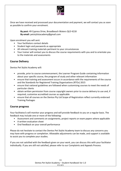

Once we have received and processed your documentation and payment, we will contact you as soon as possible to confirm your enrolment.

> **By post:** 49 Cypress Drive, Broadbeach Waters QLD 4218 **By email:** petstylistacademy@gmail.com

Upon enrolment you will sent:

- Your facilitators contact details
- Student login and passwords as appropriate
- All relevant training materials pertinent to your circumstances
- Your trainer will contact you to discuss the course requirements with you and to orientate you to the materials and assessments

#### **Course Delivery**

Dentos Pet Stylist Academy will:

- provide, prior to course commencement, the Learner Program Guide containing information about your specific course, the program of study and other relevant information
- ensure that training and assessment occurs in accordance with the requirements of the course and the Standards for Registered Training Organisations (RTOs) 2015
- ensure that national guidelines are followed when customising courses to meet the needs of particular clients
- obtain written permission from course copyright owners prior to course delivery to use and, if required, customise accredited courses as applicable
- ensure that all courses on the Dentos Pty Ltd Scope of Registration reflect currently endorsed Training Packages

#### **Course progress**

Your facilitator/s will monitor your progress and will provide feedback to you on a regular basis. The feedback may include one or more of the following:

- Assessment and comments on assignments, project reports or exam papers where applicable
- A written evaluation sheet
- Oral feedback on your overall performance

Please do not hesitate to contact the Dentos Pet Stylist Academy team to discuss any concerns you may have with progress or completion. Allowable adjustments can be made, and support is available to assist you to complete your studies.

If you are not satisfied with the feedback given on your work, you can discuss this with your facilitator individually. If you are still not satisfied, please refer to our Complaints and Appeals Process.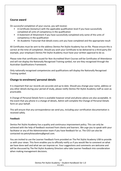

#### **Course award**

On successful completion of your course, you will receive:

- A Certificate (testamur) with the applicable qualification level if you have successfully completed all units of competency in the qualification
- A Statement of Attainment if you have successfully completed only some of the units of competency in the qualification
- An Academic Transcript that details every unit you have completed and the appropriate result

All Certificates must be sent to the address Dentos Pet Stylist Academy has on file. Please ensure this is correct at the time of completion. Should you wish your Certificate to be delivered to a third party (for example, your employer) Dentos Pet Stylist Academy must have your written approval to do so.

Please note that certificates issued for Non-Accredited Short Courses will be Certificates of Attendance and will not display the Nationally Recognised Training symbol, nor are they recognised through the Australian Qualifications Framework.

Only nationally recognised competencies and qualifications will display the Nationally Recognised Training symbol.

#### **Change to enrolment/ personal details**

It is important that our records are accurate and up to date. Should you change your name, address or any other details during your period of study, please notify Dentos Pet Stylist Academy staff as soon as practicable.

A Change of Personal Details form is available however email and phone advice are also acceptable. In the event that you phone in a change of details, Admin will complete the Change of Personal Details form on your behalf.

This will ensure that any correspondence we send you, including your certification documentation is received safely.

#### **Feedback**

Dentos Pet Stylist Academy has a quality and continuous improvement policy. This can only be achieved with the help of feedback received from clients and learners. We urge you to speak with your facilitator or any of the Administration team if you have feedback for us. The CEO can also be contacted via petstylistacademy@gmail.com.

You are invited to use the Learner Feedback Form provided on The Pet Stylist Academy USB to provide us with your views. This form enables you to officially notify us if you would like to comment on what we have done well and what we can improve on. Your suggestions and comments are welcome and will be discussed by The Pet Stylist Academy Directors who take Learner Feedback into consideration when making management decisions.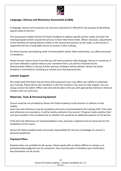

#### **Language, Literacy and Numeracy Assessment (LL&N)**

A language, literacy and numeracy non-intrusive assessment is offered for the purpose of identifying special needs of learners.

This assessment enables Dentos Pet Stylist Academy to address specific learner needs and tailor the training program and/or assessment process to best meet those needs. Where necessary, adjustments to the methods of training delivery and/or to the assessment process can be made, so the learner is supported and has a reasonable chance of success in their training.

For those learners participating under Commonwealth and/or State traineeships, an LL&N assessment is mandatory.

Please let your trainer know if you feel you will need assistance with language, literacy or numeracy. If you have indicated a special need on your enrolment form, you will be contacted by the Administration Officer to discuss further and your facilitator will be advised. Dentos Pet Stylist Academy is committed to assisting you achieve your learning outcomes.

#### **Learner Support**

We understand that there may be times when personal issues may affect your ability to undertake your training. Please talk to your facilitator in the first instance if you want to seek support. You can always contact the Admin Officer also who will be able to link you with appropriate internal or external contacts who can assist you.

#### **Materials, Texts & Personal Equipment**

Course materials are provided by Dentos Pet Stylist Academy to the learners in relation to their studies.

Some text and references may be mandatory and some recommended by the training staff. If the texts and references are mandatory, it will be clearly outlined in the Learner's Program Guide whether their cost was included in the enrolment fee or whether this would be an additional expense to the learner.

If the text and references are recommendations only, purchase is optional and not necessary for the completion of the course.

Dentos Pet Stylist Academy does not accept responsibility for the loss or breakage of a learner's personal equipment.

#### **Payment Plans**

Payment plans are available for all courses. Please speak with an Admin Officer or contact us at petstylistacademy@gmail.com for assistance. Fees must be paid in full before your certification documentation can be issued.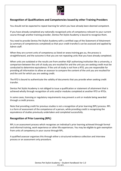

### **Recognition of Qualifications and Competencies Issued by other Training Providers**

You should not be expected to repeat learning for which you have already been deemed competent.

If you have already completed any nationally recognised units of competency relevant to your current course through another training provider, Dentos Pet Stylist Academy is bound to recognise them.

You need to provide Dentos Pet Stylist Academy with a certified copy of the Statement of Attainment (a summary of competencies completed) so that your credit transfer/s can be assessed and applied by Admin staff.

When they are current units of competency as listed on www.training.gov.au, the process is straightforward, and the outcome is that you are not repeating units that you have already completed.

When units are outdated or the results are from another AQF authorising institution like a university, a comparison between the unit of study you are resulted for and the unit you are seeking credit must be conducted to determine equivalence. If the unit of study is not from a RTO, you are responsible for providing all information to allow an assessor to compare the content of the unit you are resulted for and the unit for which you are seeking credit.

The RTO is bound to authenticate the validity of documents that you provide when seeking credit transfer.

Dentos Pet Stylist Academy is not obliged to issue a qualification or statement of attainment that is achieved wholly through recognition of units and/or modules completed at another RTO or RTOs.

In some cases, licensing or regulatory requirements may prevent a unit or module being awarded through a credit process.

Note that providing credit for previous studies is not a recognition of prior learning (RPL) process. RPL is a form of assessment of the competence of a person, while providing credit is recognising the equivalence of studies previously undertaken and completed successfully.

#### **Recognition of Prior Learning (RPL)**

RPL is an assessment process which recognises an individual's prior learning achieved through formal and informal training, work experience or other life experiences. You may be eligible to gain exemption from units of competency in your course through RPL.

A qualified assessor organises this through either a structured evidence collection and interview process or an assessment only procedure.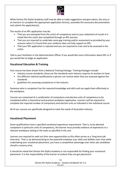

While Dentos Pet Stylist Academy staff may be able to make suggestions and give advice, the onus is on learners to complete the appropriate application form(s), assemble the necessary documentation and submit the application(s).

The results of an RPL application may be:

- That you are exempted from the unit/s of competency and on your statement of results it is noted that the unit/s was completed through an RPL process.
- That you are required to undertake some gap training and/or assessment as provided by your assessor when it is found that your evidence does not fully support an RPL.
- That your RPL application is rejected and you are required to train and to be assessed in the unit/s.

Talk to your facilitator or the Administration Officer if you would like more information about RPL or if you would like to lodge an application.

#### **Vocational Education & Training**

Your course has been drawn from a National Training Package. Training Packages include:

- industry course standards; these are the standards each industry requires its workers to have
- the different national qualifications a person can receive when they are assessed against the standards
- guidelines for assessing competence in the industry

Someone who is competent has the required knowledge and skills and can apply them effectively in the workplace.

Courses are comprised of a combination of compulsory and elective units of competency to be completed within a theoretical and practical workplace application. Learners will be required to complete the required number of compulsory and elective units as indicated in the individual course.

All of our courses are specifically designed to meet the needs of Australian industry.

#### **Vocational Placement**

Some qualifications have a specified vocational experience requirement. That is, to be deemed competent in particular units of competency, the learner must provide evidence of experience in a relevant workplace setting in the tasks as specified in the unit.

Learners are required to seek out their own opportunities as this often serves as a 'long term job interview.' That is, by demonstrating to the potential employer your skills and abilities over time while undertaking your vocational placement, you have a competitive advantage over other job candidates should a vacancy arise.

It should be noted that Dentos Pet Stylist Academy is not responsible for finding your vocational placement. It is the responsibility of the learner to endure they can get placement.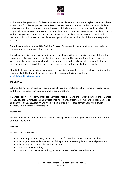

In the event that you cannot find your own vocational placement, Dentos Pet Stylist Academy will seek to assist you for a fee as specified in the fees schedule. Learners must make themselves available to undertake vocational placement to suit the needs of the host organisation. In some industries, this might include any day of the week and might include hours of work with start times as early as 6:00am and finishing times as late as 11:30pm. Dentos Pet Stylist Academy will endeavour to work with learners to find suitable vocational placement opportunities as required, but it is not our responsibility to do so.

Both the course brochure and the Training Program Guide specify the mandatory work experience requirements of particular units, if applicable.

If you have organised your own vocational placement, you will need to advise your facilitator of the sponsor organisation's details as well as the contact person. The organisation will need sign the vocational placement logbook with which the learner is issued to acknowledge the required hours have been worked. This will form part of your assessment for the specified unit as well as ac

Should the learner be an existing worker, a letter will be required from their employer confirming the hours worked. The template letters are available from your facilitator or from [petstylistacademy@gmail.com](mailto:petstylistacademy@gmail.com)

#### **INSURANCE**

Where a learner undertakes work experience, all insurance matters are their personal responsibility and that of the host organisation's worker's compensation.

If Dentos Pet Stylist Academy organises the vocational placement, the learner is insured under Dentos Pet Stylist Academy insurance and a Vocational Placement Agreement between the host organization and Dentos Pet Stylist Academy will need to be entered into. Please contact Dentos Pet Stylist Academy Admin for more information.

#### **TRANSPORT**

Learners undertaking work experience or vocational placement are responsible for transportation to and from the venue.

#### **GENERAL**

Learners are responsible for:

- Conducting and presenting themselves in a professional and ethical manner at all times
- Obeying the reasonable instructions of the persons supervising their vocational placement
- Obeying organisational policy and procedures
- Their own personal safety
- Provision of suitable work clothing/uniforms unless specified on the brochure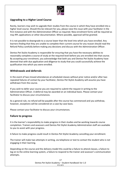

#### **Upgrading to a Higher Level Course**

Rarely, learners may wish to upgrade their studies from the course in which they have enrolled into a higher level course. Should this be relevant for you, please raise this issue with your facilitator in the first instance and with the Administration Officer as required. New enrolment forms will be required as may RPL applications or other documentation. Where possible, approval will be granted.

It is not possible to downgrade to a course lower than the level into which you have enrolled. Any learners finding that they are unable to complete their current course for any reason should read the Refund Policy carefully before making any decisions and discuss with the Administration Officer.

Dentos Pet Stylist Academy is responsible for ensuring that you have the necessary abilities to reasonably complete a course of study at the required level before you are enrolled into that course. By accepting your enrolment, you acknowledge that both you and Dentos Pet Stylist Academy have deemed that with due application and diligence to study that you could successfully achieve the qualification into which you were enrolled.

#### **Withdrawals and deferrals**

In the event of two missed attendances at scheduled classes without prior notice and/or after two repeated failures of contact by your facilitator, Dentos Pet Stylist Academy will assume you have withdrawn from the course.

If you wish to defer your course you are required to submit the request in writing to the Administration Officer. A deferral may be awarded on an individual basis. Please contact your facilitator to discuss your circumstances.

As a general rule, no refund will be payable after the course has commenced and you withdraw, however, exceptions will be considered on a case-by-case basis.

Please contact your facilitator to discuss your circumstances.

#### **Failure to progress**

It is the learner's responsibility to make progress in their studies and be working towards course completion. Trainers and assessors and Dentos Pet Stylist Academy Administration staff are available to you to assist with your progress.

A failure to make progress could result in Dentos Pet Stylist Academy cancelling your enrollment.

The trainer will make two attempts in writing, via telephone or text to contact the student who is not engaging in their learning.

Depending on the course and the delivery model this could be a failure to attend classes, a failure to log on to the online learning system, a failure to respond to the trainer and assessor's communication attempts.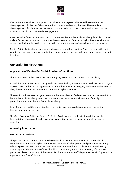

If an online learner does not log on to the online learning system, this would be considered as disengagement. If a learner fails to attend four consecutive lessons, this would be considered disengagement. If a distance learner has no communication with their trainer and assessor for one month, this would be considered disengagement.

After the trainer's two attempts to contact the learner, Dentos Pet Stylist Academy Administration will make a further two attempts. If the learner has not contacted Dentos Pet Stylist Academy within 14 days of the final Administration communication attempt, the learner's enrollment will be cancelled.

Dentos Pet Stylist Academy understands a learner's competing priorities. Open communication with your trainer and assessor or Administration is imperative so that we understand your engagement with learning.

# **General Administration:**

#### **Application of Dentos Pet Stylist Academy Conditions**

These conditions apply to every learner undergoing a course at Dentos Pet Stylist Academy.

A condition of acceptance for training and assessment is that, upon enrolment, each learner is to sign a copy of these conditions. This appears on your enrolment form. In doing so, the learner undertakes to obey the conditions whilst a learner of Dentos Pet Stylist Academy.

The conditions have been designed to ensure that every learner fairly receives the utmost benefit from Dentos Pet Stylist Academy. Also, the conditions are to ensure the maintenance of the high professional standards Dentos Pet Stylist Academy.

In addition, the conditions are intended to promote harmonious relations between the staff and learners, and among learners.

The Chief Executive Officer of Dentos Pet Stylist Academy reserves the right to arbitrate on the interpretation of any condition in case of any contention about the meaning or application of a condition.

#### **Accessing Information**

#### **Policies and Procedures**

The policies and procedures about which you should be aware are contained in this Handbook. More broadly, Dentos Pet Stylist Academy has a number of other policies and procedures ensuring effective governance of the RTO. Learners can access these additional policies and procedures by contacting the Administration Officer. Should you require any information or a copy of a policy or procedure please contact any of the Dentos Pet Stylist Academy staff via phone or email. Copies will be supplied to you free of charge.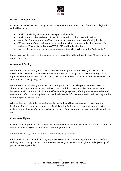

#### **Learner Training Records**

Access to individual learner training records must meet Commonwealth and State Privacy legislation and will be limited to:

- individuals wishing to access their own personal records
- individuals authorising releases of specific information to third parties in writing
- Dentos Pet Stylist Academy staff who require this information as part of their job role
- Officers from ASQA or their representatives for activities required under the Standards for Registered Training Organisations (RTOs) 2015 and funding bodies
- legal requirements (e.g. subpoena/search warrants/social service benefits/Evidence Act).

Learners wishing to access their records may do so in writing to the Administration Officer and include proof of identity.

#### **Access and Equity**

Dentos Pet Stylist Academy will provide people with the opportunity to access, participate and successfully achieve outcomes in vocational education and training. Our access and equity policy represent commitment to maximise access, participation and outcomes for all people involved in our education and training programs.

Dentos Pet Stylist Academy are able to provide support and counselling services when necessary. These support services may be provided by a contracted third party provider. Support will vary between individuals but may include simplifying the language used, offering alternative methods of assessment, referral to appropriate books and websites for information to assist with learning or other external agencies as identified.

Where a learner is identified as having special needs they will receive regular contact from the facilitator. The learner should contact the Administration Officer at any time that they feel extra assistance would be helpful. All enquiries and requests for extra support or assistance will be followed up.

#### **Consumer Rights**

All consumers of products and services are protected under Australian law. Please refer to the website below to familiarise yourself with your consumer guarantees.

#### https://www.accc.gov.au/consumers/consumer-rights-guarantees

Additionally, each State and Territory has its own consumer protection legislation, some specifically with regard to training courses. You should familiarise yourself with your rights including cooling off periods where applicable.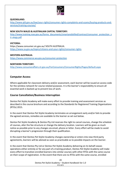

#### **QUEENSLAND:**

[http://www.qld.gov.au/law/your-rights/consumer-rights-complaints-and-scams/buying-products-and](http://www.qld.gov.au/law/your-rights/consumer-rights-complaints-and-scams/buying-products-and-%20services/training-courses/)[services/training-courses/](http://www.qld.gov.au/law/your-rights/consumer-rights-complaints-and-scams/buying-products-and-%20services/training-courses/)

#### **NEW SOUTH WALES & AUSTRALIAN CAPITAL TERRITORY:**

[http://www.training.nsw.gov.au/forms\\_documents/smartandskilled/contract/consumer\\_protection\\_s](http://www.training.nsw.gov.au/forms_documents/smartandskilled/contract/consumer_protection_str%20ategy.pdf) [tr ategy.pdf](http://www.training.nsw.gov.au/forms_documents/smartandskilled/contract/consumer_protection_str%20ategy.pdf)

#### **VICTORIA:**

https://www.consumer.vic.gov.au/ SOUTH AUSTRALIA: <https://www.sa.gov.au/topics/citizens-and-your-rights/consumer-rights>

#### **WESTERN AUSTRALIA:**

<https://www.commerce.wa.gov.au/consumer-protection>

#### **NORTHERN TERRITORY:**

<http://www.consumeraffairs.nt.gov.au/ForConsumers/ConsumerRights/Pages/default.aspx>

#### **Computer Access**

Where applicable for classroom delivery and/or assessment, each learner will be issued an access code for the wireless network for course related purposes. It is the learner's responsibility to ensure all essential work is backed up to prevent loss of work.

#### **Course Cancellation/Business Interruption**

Dentos Pet Stylist Academy will make every effort to provide training and assessment services as described in the course brochure and according to the Standards for Registered Training Organisations (RTOs) 2015.

In the event that Dentos Pet Stylist Academy terminates an arrangement early and/or fails to provide the agreed services, remedies are available to the learner as set out below.

Dentos Pet Stylist Academy & Dentos Pty Ltd reserves the right to cancel courses, change the schedule of courses, alter the fee structure or change the delivery location. Learners will be given as much notice as possible prior to any changes via email, phone or letter. Every effort will be made to avoid disrupting a learner's progression through their qualification.

In the event that Dentos Pet Stylist Academy changes ownership or enters into new third party agreements, learners will be advised as soon as practicable as to possible impacts on the learner.

In the event that Dentos Pty Ltd or Dentos Pet Stylist Academy delivering on its behalf ceases operations either entirely or for any part of a training product, Dentos Pet Stylist Academy will make every effort to transition enrolled learners into similar courses with other RTOs with the same course on their scope of registration. In the event that there are no RTOs with the same course, enrolled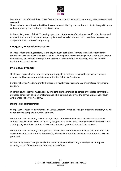

learners will be refunded their course fees proportionate to that which has already been delivered and assessed.

The calculation for this refund will be the course fee divided by the number of units in the qualification and multiplied by the number of completed units.

In the unlikely event of the RTO ceasing operations, Statements of Attainment and/or Certificates and Academic Records will be issued as appropriate to all enrolled students who have been assessed as competent in any unit/s of competency.

#### **Emergency Evacuation Procedure**

For face to face training sessions, at the beginning of each class, learners are asked to familiarise themselves with the evacuation routes and assembly points for the training venue. Should evacuation be necessary, all learners are required to assemble in the nominated Assembly Area to allow the facilitator to call a class roll.

#### **Intellectual Property**

The learner agrees that all intellectual property rights in material provided to the learner such as manuals and teaching materials belong to Dentos Pet Stylist Academy.

Dentos Pet Stylist Academy grants the learner a royalty-free license to use this material for personal use only.

In particular, the learner must not copy or distribute the material to others or use it for commercial purposes other than as a personal reference. This clause shall survive the termination of your study with Dentos Pet Stylist Academy.

#### **Storing Personal Information**

Your privacy is respected by Dentos Pet Stylist Academy. When enrolling in a training program, you will be required to complete a number of forms.

Dentos Pet Stylist Academy ensures that, except as required under the Standards for Registered Training Organisations (RTOs) 2015, or by law, personal information about you will not be disclosed to a third party, with the exception of assessors as advised, without your written consent.

Dentos Pet Stylist Academy stores personal information in both paper and electronic form with hard copy information kept under locked security. Personal information stored on computers is password protected.

Learners may access their personal information at any time by writing a letter/email of request including proof of identity to the Administration Officer.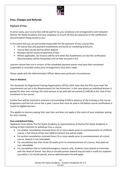

#### **Fees, Charges and Refunds**

#### **Payment of Fees**

In some cases, your course fees will be paid for by your employer and arrangements exist between Dentos Pet Stylist Academy and your employer to ensure all fees are paid prior to the certification documentation being issued to you.

In the event that you are personally responsible for the payment of your course fees:

- All course fees and payment installments are found on marketing brochures
- Course fees can be paid by direct deposit
- Receipts will be issued on payment of fees
- Where applicable, tax invoices will be sent when fee installments are due No certification documentation will be forwarded until all fees are paid in full.

Learners whose fees are in arrears of the scheduled payment points may have their enrolment suspended or cancelled unless prior arrangements have been made.

Please speak with the Administration Officer about your particular circumstances.

#### **Fees in Advance**

The Standards for Registered Training Organisations (RTOs) 2015 state that the RTO must meet the requirements set out in the Requirements for Fee Protection. In the case where an individual learner is paying for their own training, the total amount to be paid will not exceed \$1,500.00 at the time of the enrolment in the course.

Further fees will be invoiced in amounts not exceeding \$1500 in advance of the training as the course progresses until the full course fee is paid. Course fees must be paid in full before course certification is issued to eligible learners.

This applies to learners paying their own fees and does not apply in the event of your employer paying for your training.

#### **Fees and Refund Policy**

Applicants must advise The Pet Stylist Academy as representative of Dentos Pet Stylist Academy in writing of their intention to withdraw from a course.

- For written cancellation received three (3) or more weeks prior to commencement of a fulltime course, a full refund of fees less \$200 Enrolment Fee will be made.
- For written cancellation received three (3) or more weeks prior to commencement of a short course, deposit is not refundable.
- For cancellation less than three (3) weeks prior to commencement of a course, fees paid are non-refundable.
- For cancellation due to medical/emergency reasons only, students must attend an interview with the Head of School. Any fees or unused portion thereof may be held in credit for students' use within a 12-month period, and an administration fee will apply.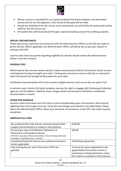

- Where a course is cancelled for any reason by Dentos Pet Stylist Academy, and alternative courses do not suit the applicant, a full refund of fees paid will be made.
- Should you withdraw from the course, once commenced, you will forfeit all monies paid and be liable for the full course cost.
- All student fees will be processed through a separate banking account for auditing purposes.

#### **SPECIAL CIRCUMSTANCES**

Please discuss your particular circumstances with the Administration Officer as the CEO can make ex gratia refunds. Where applicable, the Administration Officer will advise you to put your request in writing to the CEO.

Learners who have any queries regarding eligibility for refunds should contact the Administration Officer in the first instance.

#### **OVERDUE FEES**

Where learner fees are two weeks overdue, trainers and assessors will be instructed to refuse services until payment has been brought up to date. Training and assessment services will only re-commence when the learner has brought all due payments up to date.

Certification documentation will not be issued to eligible learners until course fees are paid in full.

In extreme cases, Dentos Pet Stylist Academy reserves the right to engage with Professional Collection agencies and the debtor is liable for these charges which must be paid in full before certification documentation is issued.

#### **OTHER FEES SCHEDULE**

Learners need to be aware that from time to time and depending upon circumstance, there may be additional fees and charges incurred. These fees and charges are outlined in the table below. Please talk to the Administration Officer about your particular circumstances as the CEO may make ex gratia exceptions.

#### **Additional Fees Table**

| Re-enrolment fee if the learner continues beyond their<br>original course duration as stated on the brochure.                                                                                   | \$100.00                                                                                                                                                       |
|-------------------------------------------------------------------------------------------------------------------------------------------------------------------------------------------------|----------------------------------------------------------------------------------------------------------------------------------------------------------------|
| Re-issuing a copy of Certificates/ Statement of<br>Attainment and Academic Record<br>(The first copy only of these documents is free of charge when you<br>complete or withdraw from a course.) | \$30.00                                                                                                                                                        |
| Vocational Placement Services (as outlined in brochure<br>where applicable)                                                                                                                     | \$150.00 per placement                                                                                                                                         |
| Gap training fee per unit in the event of RPL not<br>granted                                                                                                                                    | A course by course negotiation to be<br>agreed before the learner enrols or<br>commences training whichever comes<br>first and/or as outlined in the brochure. |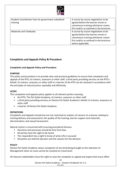

| Student Contribution Fees for government subsidised<br>training | A course by course negotiation to be<br>agreed before the learner enrols or<br>commences training whichever comes<br>first and/or as outlined in the brochure.                     |
|-----------------------------------------------------------------|------------------------------------------------------------------------------------------------------------------------------------------------------------------------------------|
| <b>Materials and Textbooks</b>                                  | A course by course negotiation to be<br>agreed before the learner enrols or<br>commences training whichever comes<br>first and/or as outlined in the brochure<br>where applicable. |

#### **Complaints and Appeals Policy & Procedure**

#### **Complaints and Appeals Policy and Procedure**

#### **PURPOSE**

This policy and procedure is to provide clear and practical guidelines to ensure that complaints and appeals of the RTO, its trainers, assessors or other staff, a third party providing services on the RTO's behalf, its trainers, assessors or other staff or a learner of the RTO can be resolved in accordance with the principles of natural justice, equitably and efficiently.

#### **SCOPE**

This complaints and appeals policy applies to all relevant parties meaning:

- the RTO, The Pet Stylist Academy, its trainers, assessors or other staff
- a third party providing services on Dentos Pet Stylist Academy's behalf, its trainers, assessors or other staff
- a learner of Dentos Pet Stylist Academy.

#### **DEFINITIONS**

Complaints and Appeals include but are not restricted to matters of concern to a learner relating to training delivery and assessment; the quality of the training; learner support and materials; discrimination; and sexual harassment.

Natural Justice is concerned with ensuring procedural fairness:

- Decisions and processes should be free from bias.
- All parties have the right to be heard.
- The respondent has a right to know of what s/he is accused
- All parties are told the decision and the reasons for the decision.

#### **POLICY**

Dentos Pet Stylist Academy values complaints of any kind being brought to the attention of Management when an issue cannot be resolved at a local level.

All relevant stakeholders have the right to raise the complaint or appeal and expect that every effort

24 Dentos Pet Stylist Academy – Student Handbook Ver 1.0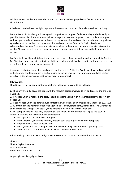

will be made to resolve it in accordance with this policy, without prejudice or fear of reprisal or victimisation.

All relevant parties have the right to present the complaint or appeal formally as well as in writing.

Dentos Pet Stylist Academy will manage all complaints and appeals fairly, equitably and efficiently as possible. Dentos Pet Stylist Academy will encourage the parties to approach the complaint or appeal with an open mind and to resolve problems through discussion and conciliation. Where a complaint or appeal cannot be resolved through discussion and conciliation, Dentos Pet Stylist Academy acknowledges the need for an appropriate external and independent person to mediate between the parties. The parties will be given the opportunity to formally present their case to the independent person.

Confidentiality will be maintained throughout the process of making and resolving complaints. Dentos Pet Stylist Academy seeks to protect the rights and privacy of all involved and to facilitate the return to a comfortable and productive environment.

A copy of this Policy is available to all parties via the Dentos Pet Stylist Academy Office and is available in the Learner Handbook which is posted online or can be emailed. The information will also contain details of external authorities that parties may want approach.

#### **PROCEDURE:**

Should a party have a complaint or appeal, the following steps are to be followed:

**1.** The party should discuss the issue with the relevant person involved to try and resolve the situation it verbally.

**2.** If no resolution is reached, the party should discuss the issue with his/her facilitator to see if it can be resolved.

**3.** If still no resolution the party should contact the Operations and Compliance Manager on (07) 5575 2200 or through the Administration Manager email at petstylistacademy@gmail.com. The Operations and Compliance Manager will assist you to resolve the complaint within seven days.

**4.** For complex matters, you may prefer to put the following information relating to the issue in writing. Please include in your written submission:

- description of the complaint or appeal
- state whether you wish to formally present your case in person where appropriate
- steps you have taken to deal with it
- what you would like to happen to fix the problem and prevent it from happening again.
- If you prefer, a staff member can assist you to complete this form

Additionally, parties are able to lodge a written complaint or appeal addressed to the CEO at:

The CEO The Pet Stylist Academy 49 Cypress Drive Broadbeach Waters QLD 4218

Or petstylistacademy@gmail.com

25

Dentos Pet Stylist Academy – Student Handbook Ver 1.0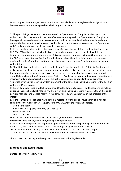

Formal Appeals Forms and/or Complaints Forms are available from petstylistacademy@gmail.com however complaints and/or appeals can be in any written form.

**5.** The party brings the issue to the attention of the Operations and Compliance Manager at the earliest possible convenience. In the case of an assessment appeal, the Operations and Compliance Manager will assess the result and assessment and will moderate this with the trainer/s, and then present the learner with a written report within 14 days. In the event of a complaint the Operations and Compliance Manager has 7 days in which to respond.

**6.** If the issue is not dealt with to the learner's satisfaction s/he may bring it to the attention of the CEO. The CEO will either deal with the issue personally or arrange for it to be dealt with by an independent management representative. This process must commence within 48 hours from the time the CEO receives written notification from the learner about their dissatisfaction to the response received from the Operations and Compliance Manager and a response/resolution must be presented within 7 days.

**7.** Should the issue still not be resolved to the learner's satisfaction, Dentos Pet Stylist Academy will make arrangements for an independent external person to resolve the issue. The learner will be given the opportunity to formally present his or her case. The time frame for this process may vary but should take no longer than 14 days. Dentos Pet Stylist Academy will pay an independent mediator for a maximum of two hours. Costs thereafter are at the complainant or appellant's own expense. All parties involved will receive a written statement of the outcomes, including reasons for the decision within the 14 day period.

In the unlikely event that it will take more than 60 calendar days to process and finalise the complaint or appeal, Dentos Pet Stylist Academy will you in writing, including reasons why more than 60 calendar days are required, and Dentos Pet Stylist Academy will regularly update you on the progress of the matter.

**8.** If the learner is still not happy with external mediation of the appeal, he/she may take his/her complaint to the Australian Skills Quality Authority (ASQA) at the following address.

Complaints Team Australian Skills Quality Authority GPO Box 9928 SYDNEY NSW 2001 Tel: 1300 701 801

You can also submit your complaint online to ASQA by referring to the link:-

http://www.asqa.gov.au/complaints/making-a-complaint.html

**9.** In respect to complaints and depending upon the nature of the complaint e.g. discrimination, fair trading etc., the learner will be directed to the appropriate government department.

**10.** All documentation relating to complaints or appeals will be archived for audit purposes.

**11.** The CEO will be responsible for the implementation and maintenance of the policy.

This process does not negate the right of parties to seek other legal remedies.

#### **Marketing and Recruitment**

Dentos Pet Stylist Academy will: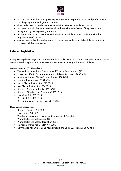

- market courses within its Scope of Registration with integrity, accuracy and professionalism, avoiding vague and ambiguous statements
- draw no false or misleading comparisons with any other provider or course
- not state or imply that courses other than those within the Scope of Registration are recognised by the registering authority
- recruit learners at all times in an ethical and responsible manner consistent with the requirements of courses
- ensure that application and selection processes are explicit and defensible and equity and access principles are observed

#### **Relevant Legislation**

A range of legislation, regulation and standards is applicable to all staff and learners. Queensland and Commonwealth legislation to which Dentos Pet Stylist Academy adheres is as follows:

#### **Commonwealth (Cth) Legislation:**

- The National Vocational Education and Training Regulator Act (2011)
- Privacy Act 1988 / Privacy Amendment (Private Sector) Act 2000 (Cth)
- Australian Human Rights Commission Act 1986 (Cth)
- Sex Discrimination Act 1984 (Cth)
- Racial Discrimination Act 1975 (Cth)
- Age Discrimination Act 2004 (Cth)
- Disability Discrimination Act 1992 (Cth)
- Disability Standards for Education 2005 (Cth)
- Fair Work Act 2009 (Cth)
- Copyright Act 1968 (Cth)
- Competition and Consumer Act 2010 (Cth)

#### **Queensland Legislation:**

- Disability Services Act 2006
- Fair Trading Act 1989
- Vocational Education, Training and Employment Act 2000
- Work Health and Safety Act 2011
- Work Health and Safety Regulation 2011
- Electronic Transactions (QLD) Act 2001
- Commission for Children and Young People and Child Guardian Act 2000 (Qld)